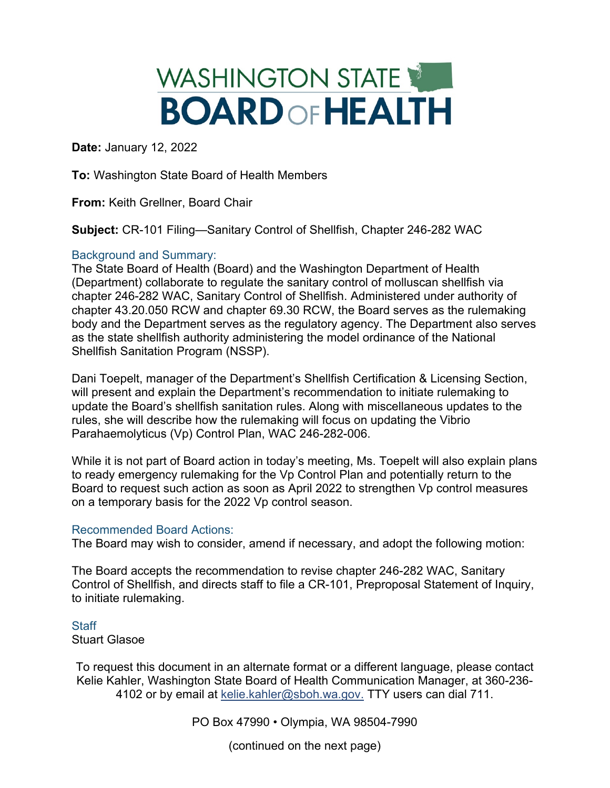## WASHINGTON STATE **BOARD OF HEALTH**

**Date:** January 12, 2022

**To:** Washington State Board of Health Members

**From:** Keith Grellner, Board Chair

**Subject:** CR-101 Filing—Sanitary Control of Shellfish, Chapter 246-282 WAC

## Background and Summary:

The State Board of Health (Board) and the Washington Department of Health (Department) collaborate to regulate the sanitary control of molluscan shellfish via chapter 246-282 WAC, Sanitary Control of Shellfish. Administered under authority of chapter 43.20.050 RCW and chapter 69.30 RCW, the Board serves as the rulemaking body and the Department serves as the regulatory agency. The Department also serves as the state shellfish authority administering the model ordinance of the National Shellfish Sanitation Program (NSSP).

Dani Toepelt, manager of the Department's Shellfish Certification & Licensing Section, will present and explain the Department's recommendation to initiate rulemaking to update the Board's shellfish sanitation rules. Along with miscellaneous updates to the rules, she will describe how the rulemaking will focus on updating the Vibrio Parahaemolyticus (Vp) Control Plan, WAC 246-282-006.

While it is not part of Board action in today's meeting, Ms. Toepelt will also explain plans to ready emergency rulemaking for the Vp Control Plan and potentially return to the Board to request such action as soon as April 2022 to strengthen Vp control measures on a temporary basis for the 2022 Vp control season.

## Recommended Board Actions:

The Board may wish to consider, amend if necessary, and adopt the following motion:

The Board accepts the recommendation to revise chapter 246-282 WAC, Sanitary Control of Shellfish, and directs staff to file a CR-101, Preproposal Statement of Inquiry, to initiate rulemaking.

## **Staff** Stuart Glasoe

To request this document in an alternate format or a different language, please contact Kelie Kahler, Washington State Board of Health Communication Manager, at 360-236 4102 or by email at [kelie.kahler@sboh.wa.gov.](mailto:kelie.Kahler@sboh.wa.gov) TTY users can dial 711.

PO Box 47990 • Olympia, WA 98504-7990

(continued on the next page)